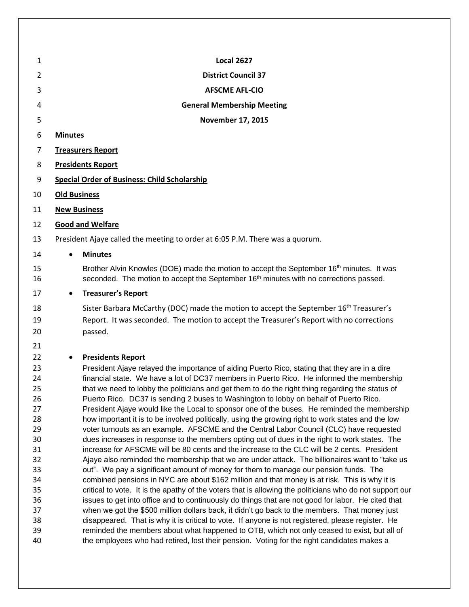| <b>Local 2627</b><br><b>District Council 37</b><br><b>AFSCME AFL-CIO</b><br><b>General Membership Meeting</b>                                                                                                                                                                                                                                                                                                                                                                                                                                                                                                                                                                                                                                                                                                                                                                                                                                                                                                                                                                                                                                                                                                                                                                                                                                                                                                                                                                                                                                                                                                                                                                                                                          |
|----------------------------------------------------------------------------------------------------------------------------------------------------------------------------------------------------------------------------------------------------------------------------------------------------------------------------------------------------------------------------------------------------------------------------------------------------------------------------------------------------------------------------------------------------------------------------------------------------------------------------------------------------------------------------------------------------------------------------------------------------------------------------------------------------------------------------------------------------------------------------------------------------------------------------------------------------------------------------------------------------------------------------------------------------------------------------------------------------------------------------------------------------------------------------------------------------------------------------------------------------------------------------------------------------------------------------------------------------------------------------------------------------------------------------------------------------------------------------------------------------------------------------------------------------------------------------------------------------------------------------------------------------------------------------------------------------------------------------------------|
|                                                                                                                                                                                                                                                                                                                                                                                                                                                                                                                                                                                                                                                                                                                                                                                                                                                                                                                                                                                                                                                                                                                                                                                                                                                                                                                                                                                                                                                                                                                                                                                                                                                                                                                                        |
|                                                                                                                                                                                                                                                                                                                                                                                                                                                                                                                                                                                                                                                                                                                                                                                                                                                                                                                                                                                                                                                                                                                                                                                                                                                                                                                                                                                                                                                                                                                                                                                                                                                                                                                                        |
|                                                                                                                                                                                                                                                                                                                                                                                                                                                                                                                                                                                                                                                                                                                                                                                                                                                                                                                                                                                                                                                                                                                                                                                                                                                                                                                                                                                                                                                                                                                                                                                                                                                                                                                                        |
|                                                                                                                                                                                                                                                                                                                                                                                                                                                                                                                                                                                                                                                                                                                                                                                                                                                                                                                                                                                                                                                                                                                                                                                                                                                                                                                                                                                                                                                                                                                                                                                                                                                                                                                                        |
| November 17, 2015                                                                                                                                                                                                                                                                                                                                                                                                                                                                                                                                                                                                                                                                                                                                                                                                                                                                                                                                                                                                                                                                                                                                                                                                                                                                                                                                                                                                                                                                                                                                                                                                                                                                                                                      |
| <b>Minutes</b>                                                                                                                                                                                                                                                                                                                                                                                                                                                                                                                                                                                                                                                                                                                                                                                                                                                                                                                                                                                                                                                                                                                                                                                                                                                                                                                                                                                                                                                                                                                                                                                                                                                                                                                         |
| <b>Treasurers Report</b>                                                                                                                                                                                                                                                                                                                                                                                                                                                                                                                                                                                                                                                                                                                                                                                                                                                                                                                                                                                                                                                                                                                                                                                                                                                                                                                                                                                                                                                                                                                                                                                                                                                                                                               |
| <b>Presidents Report</b>                                                                                                                                                                                                                                                                                                                                                                                                                                                                                                                                                                                                                                                                                                                                                                                                                                                                                                                                                                                                                                                                                                                                                                                                                                                                                                                                                                                                                                                                                                                                                                                                                                                                                                               |
| <b>Special Order of Business: Child Scholarship</b>                                                                                                                                                                                                                                                                                                                                                                                                                                                                                                                                                                                                                                                                                                                                                                                                                                                                                                                                                                                                                                                                                                                                                                                                                                                                                                                                                                                                                                                                                                                                                                                                                                                                                    |
| <b>Old Business</b>                                                                                                                                                                                                                                                                                                                                                                                                                                                                                                                                                                                                                                                                                                                                                                                                                                                                                                                                                                                                                                                                                                                                                                                                                                                                                                                                                                                                                                                                                                                                                                                                                                                                                                                    |
| <b>New Business</b>                                                                                                                                                                                                                                                                                                                                                                                                                                                                                                                                                                                                                                                                                                                                                                                                                                                                                                                                                                                                                                                                                                                                                                                                                                                                                                                                                                                                                                                                                                                                                                                                                                                                                                                    |
| <b>Good and Welfare</b>                                                                                                                                                                                                                                                                                                                                                                                                                                                                                                                                                                                                                                                                                                                                                                                                                                                                                                                                                                                                                                                                                                                                                                                                                                                                                                                                                                                                                                                                                                                                                                                                                                                                                                                |
| President Ajaye called the meeting to order at 6:05 P.M. There was a quorum.                                                                                                                                                                                                                                                                                                                                                                                                                                                                                                                                                                                                                                                                                                                                                                                                                                                                                                                                                                                                                                                                                                                                                                                                                                                                                                                                                                                                                                                                                                                                                                                                                                                           |
| <b>Minutes</b><br>$\bullet$                                                                                                                                                                                                                                                                                                                                                                                                                                                                                                                                                                                                                                                                                                                                                                                                                                                                                                                                                                                                                                                                                                                                                                                                                                                                                                                                                                                                                                                                                                                                                                                                                                                                                                            |
| Brother Alvin Knowles (DOE) made the motion to accept the September 16 <sup>th</sup> minutes. It was<br>seconded. The motion to accept the September 16 <sup>th</sup> minutes with no corrections passed.                                                                                                                                                                                                                                                                                                                                                                                                                                                                                                                                                                                                                                                                                                                                                                                                                                                                                                                                                                                                                                                                                                                                                                                                                                                                                                                                                                                                                                                                                                                              |
| <b>Treasurer's Report</b><br>$\bullet$                                                                                                                                                                                                                                                                                                                                                                                                                                                                                                                                                                                                                                                                                                                                                                                                                                                                                                                                                                                                                                                                                                                                                                                                                                                                                                                                                                                                                                                                                                                                                                                                                                                                                                 |
| Sister Barbara McCarthy (DOC) made the motion to accept the September 16 <sup>th</sup> Treasurer's<br>Report. It was seconded. The motion to accept the Treasurer's Report with no corrections<br>passed.                                                                                                                                                                                                                                                                                                                                                                                                                                                                                                                                                                                                                                                                                                                                                                                                                                                                                                                                                                                                                                                                                                                                                                                                                                                                                                                                                                                                                                                                                                                              |
| <b>Presidents Report</b><br>President Ajaye relayed the importance of aiding Puerto Rico, stating that they are in a dire<br>financial state. We have a lot of DC37 members in Puerto Rico. He informed the membership<br>that we need to lobby the politicians and get them to do the right thing regarding the status of<br>Puerto Rico. DC37 is sending 2 buses to Washington to lobby on behalf of Puerto Rico.<br>President Ajaye would like the Local to sponsor one of the buses. He reminded the membership<br>how important it is to be involved politically, using the growing right to work states and the low<br>voter turnouts as an example. AFSCME and the Central Labor Council (CLC) have requested<br>dues increases in response to the members opting out of dues in the right to work states. The<br>increase for AFSCME will be 80 cents and the increase to the CLC will be 2 cents. President<br>Ajaye also reminded the membership that we are under attack. The billionaires want to "take us<br>out". We pay a significant amount of money for them to manage our pension funds. The<br>combined pensions in NYC are about \$162 million and that money is at risk. This is why it is<br>critical to vote. It is the apathy of the voters that is allowing the politicians who do not support our<br>issues to get into office and to continuously do things that are not good for labor. He cited that<br>when we got the \$500 million dollars back, it didn't go back to the members. That money just<br>disappeared. That is why it is critical to vote. If anyone is not registered, please register. He<br>reminded the members about what happened to OTB, which not only ceased to exist, but all of |
|                                                                                                                                                                                                                                                                                                                                                                                                                                                                                                                                                                                                                                                                                                                                                                                                                                                                                                                                                                                                                                                                                                                                                                                                                                                                                                                                                                                                                                                                                                                                                                                                                                                                                                                                        |

 reminded the members about what happened to OTB, which not only ceased to exist, but all of 40 the employees who had retired, lost their pension. Voting for the right candidates makes a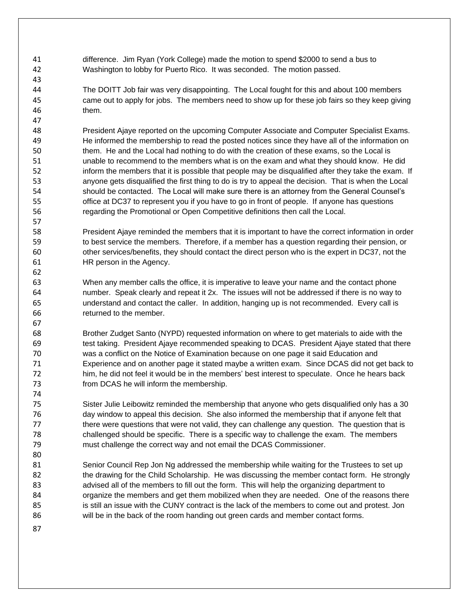difference. Jim Ryan (York College) made the motion to spend \$2000 to send a bus to Washington to lobby for Puerto Rico. It was seconded. The motion passed.

 The DOITT Job fair was very disappointing. The Local fought for this and about 100 members came out to apply for jobs. The members need to show up for these job fairs so they keep giving them.

 President Ajaye reported on the upcoming Computer Associate and Computer Specialist Exams. He informed the membership to read the posted notices since they have all of the information on them. He and the Local had nothing to do with the creation of these exams, so the Local is unable to recommend to the members what is on the exam and what they should know. He did inform the members that it is possible that people may be disqualified after they take the exam. If anyone gets disqualified the first thing to do is try to appeal the decision. That is when the Local should be contacted. The Local will make sure there is an attorney from the General Counsel's office at DC37 to represent you if you have to go in front of people. If anyone has questions regarding the Promotional or Open Competitive definitions then call the Local.

 President Ajaye reminded the members that it is important to have the correct information in order to best service the members. Therefore, if a member has a question regarding their pension, or other services/benefits, they should contact the direct person who is the expert in DC37, not the HR person in the Agency.

 When any member calls the office, it is imperative to leave your name and the contact phone number. Speak clearly and repeat it 2x. The issues will not be addressed if there is no way to understand and contact the caller. In addition, hanging up is not recommended. Every call is returned to the member.

 Brother Zudget Santo (NYPD) requested information on where to get materials to aide with the test taking. President Ajaye recommended speaking to DCAS. President Ajaye stated that there was a conflict on the Notice of Examination because on one page it said Education and Experience and on another page it stated maybe a written exam. Since DCAS did not get back to him, he did not feel it would be in the members' best interest to speculate. Once he hears back from DCAS he will inform the membership.

 Sister Julie Leibowitz reminded the membership that anyone who gets disqualified only has a 30 day window to appeal this decision. She also informed the membership that if anyone felt that there were questions that were not valid, they can challenge any question. The question that is challenged should be specific. There is a specific way to challenge the exam. The members must challenge the correct way and not email the DCAS Commissioner.

 Senior Council Rep Jon Ng addressed the membership while waiting for the Trustees to set up the drawing for the Child Scholarship. He was discussing the member contact form. He strongly advised all of the members to fill out the form. This will help the organizing department to organize the members and get them mobilized when they are needed. One of the reasons there is still an issue with the CUNY contract is the lack of the members to come out and protest. Jon will be in the back of the room handing out green cards and member contact forms.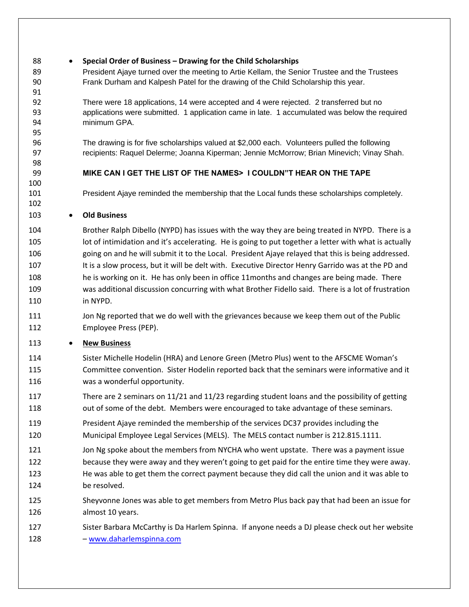- **Special Order of Business – Drawing for the Child Scholarships**
- President Ajaye turned over the meeting to Artie Kellam, the Senior Trustee and the Trustees Frank Durham and Kalpesh Patel for the drawing of the Child Scholarship this year.

 There were 18 applications, 14 were accepted and 4 were rejected. 2 transferred but no applications were submitted. 1 application came in late. 1 accumulated was below the required minimum GPA.

 The drawing is for five scholarships valued at \$2,000 each. Volunteers pulled the following recipients: Raquel Delerme; Joanna Kiperman; Jennie McMorrow; Brian Minevich; Vinay Shah.

## **MIKE CAN I GET THE LIST OF THE NAMES> I COULDN"T HEAR ON THE TAPE**

President Ajaye reminded the membership that the Local funds these scholarships completely.

## **Old Business**

 Brother Ralph Dibello (NYPD) has issues with the way they are being treated in NYPD. There is a 105 lot of intimidation and it's accelerating. He is going to put together a letter with what is actually going on and he will submit it to the Local. President Ajaye relayed that this is being addressed. 107 It is a slow process, but it will be delt with. Executive Director Henry Garrido was at the PD and he is working on it. He has only been in office 11months and changes are being made. There was additional discussion concurring with what Brother Fidello said. There is a lot of frustration in NYPD.

111 Jon Ng reported that we do well with the grievances because we keep them out of the Public Employee Press (PEP).

## **New Business**

- Sister Michelle Hodelin (HRA) and Lenore Green (Metro Plus) went to the AFSCME Woman's Committee convention. Sister Hodelin reported back that the seminars were informative and it was a wonderful opportunity.
- There are 2 seminars on 11/21 and 11/23 regarding student loans and the possibility of getting 118 out of some of the debt. Members were encouraged to take advantage of these seminars.
- President Ajaye reminded the membership of the services DC37 provides including the Municipal Employee Legal Services (MELS). The MELS contact number is 212.815.1111.
- 121 Jon Ng spoke about the members from NYCHA who went upstate. There was a payment issue because they were away and they weren't going to get paid for the entire time they were away. He was able to get them the correct payment because they did call the union and it was able to be resolved.
- Sheyvonne Jones was able to get members from Metro Plus back pay that had been an issue for almost 10 years.
- Sister Barbara McCarthy is Da Harlem Spinna. If anyone needs a DJ please check out her website – [www.daharlemspinna.com](http://www.daharlemspinna.com/)